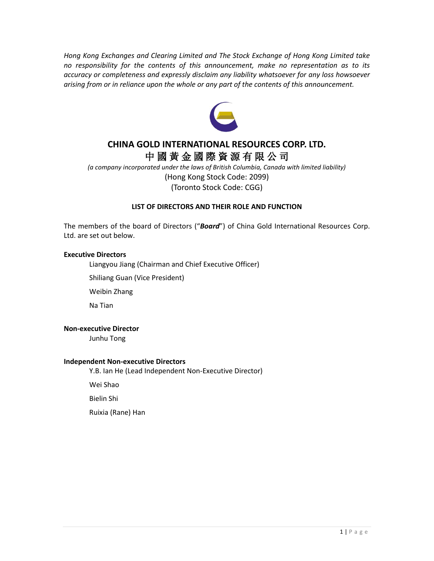*Hong Kong Exchanges and Clearing Limited and The Stock Exchange of Hong Kong Limited take no responsibility for the contents of this announcement, make no representation as to its accuracy or completeness and expressly disclaim any liability whatsoever for any loss howsoever arising from or in reliance upon the whole or any part of the contents of this announcement.*



# **CHINA GOLD INTERNATIONAL RESOURCES CORP. LTD.** 中 國 黃 金 國 際 資 源 有 限 公 司

*(a company incorporated under the laws of British Columbia, Canada with limited liability)* (Hong Kong Stock Code: 2099) (Toronto Stock Code: CGG)

## **LIST OF DIRECTORS AND THEIR ROLE AND FUNCTION**

The members of the board of Directors ("*Board*") of China Gold International Resources Corp. Ltd. are set out below.

## **Executive Directors**

Liangyou Jiang (Chairman and Chief Executive Officer)

Shiliang Guan (Vice President)

Weibin Zhang

Na Tian

### **Non-executive Director**

Junhu Tong

### **Independent Non-executive Directors**

Y.B. Ian He (Lead Independent Non-Executive Director)

Wei Shao

Bielin Shi

Ruixia (Rane) Han